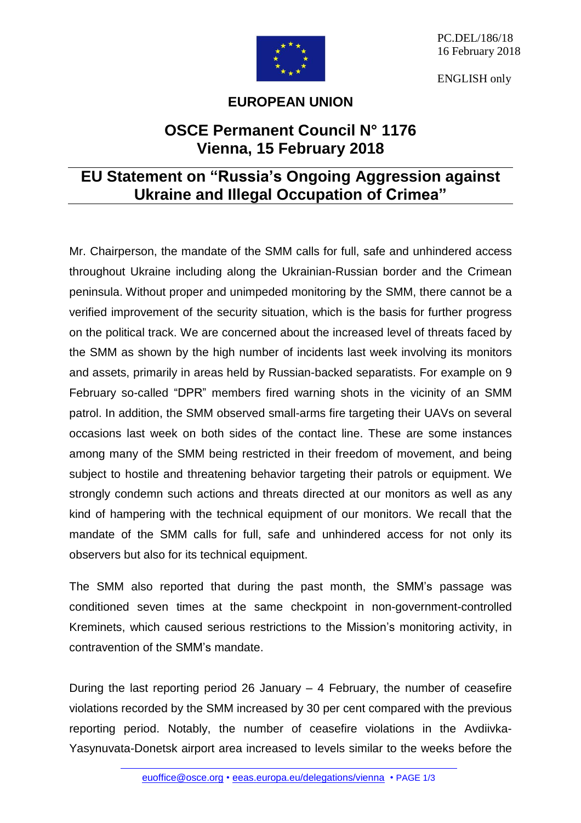

PC.DEL/186/18 16 February 2018

ENGLISH only

## **EUROPEAN UNION**

## **OSCE Permanent Council N° 1176 Vienna, 15 February 2018**

## **EU Statement on "Russia's Ongoing Aggression against Ukraine and Illegal Occupation of Crimea"**

Mr. Chairperson, the mandate of the SMM calls for full, safe and unhindered access throughout Ukraine including along the Ukrainian-Russian border and the Crimean peninsula. Without proper and unimpeded monitoring by the SMM, there cannot be a verified improvement of the security situation, which is the basis for further progress on the political track. We are concerned about the increased level of threats faced by the SMM as shown by the high number of incidents last week involving its monitors and assets, primarily in areas held by Russian-backed separatists. For example on 9 February so-called "DPR" members fired warning shots in the vicinity of an SMM patrol. In addition, the SMM observed small-arms fire targeting their UAVs on several occasions last week on both sides of the contact line. These are some instances among many of the SMM being restricted in their freedom of movement, and being subject to hostile and threatening behavior targeting their patrols or equipment. We strongly condemn such actions and threats directed at our monitors as well as any kind of hampering with the technical equipment of our monitors. We recall that the mandate of the SMM calls for full, safe and unhindered access for not only its observers but also for its technical equipment.

The SMM also reported that during the past month, the SMM's passage was conditioned seven times at the same checkpoint in non-government-controlled Kreminets, which caused serious restrictions to the Mission's monitoring activity, in contravention of the SMM's mandate.

During the last reporting period 26 January – 4 February, the number of ceasefire violations recorded by the SMM increased by 30 per cent compared with the previous reporting period. Notably, the number of ceasefire violations in the Avdiivka-Yasynuvata-Donetsk airport area increased to levels similar to the weeks before the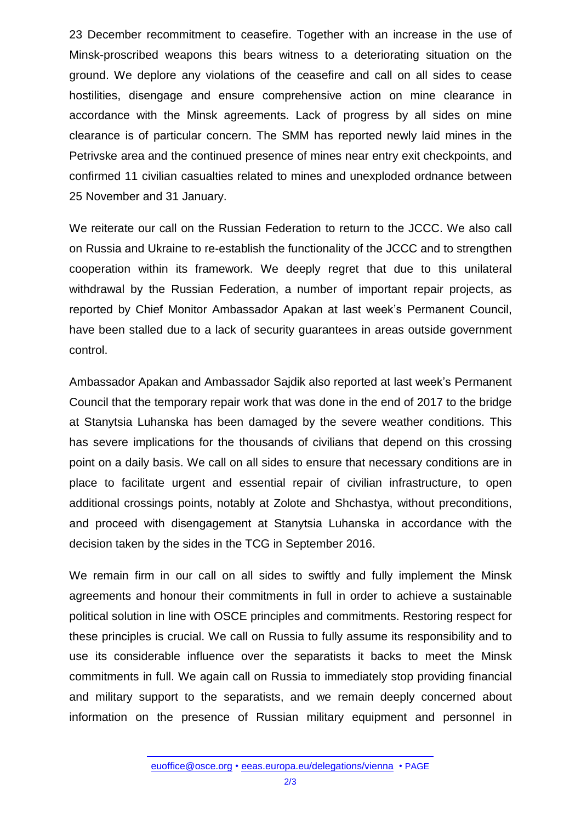23 December recommitment to ceasefire. Together with an increase in the use of Minsk-proscribed weapons this bears witness to a deteriorating situation on the ground. We deplore any violations of the ceasefire and call on all sides to cease hostilities, disengage and ensure comprehensive action on mine clearance in accordance with the Minsk agreements. Lack of progress by all sides on mine clearance is of particular concern. The SMM has reported newly laid mines in the Petrivske area and the continued presence of mines near entry exit checkpoints, and confirmed 11 civilian casualties related to mines and unexploded ordnance between 25 November and 31 January.

We reiterate our call on the Russian Federation to return to the JCCC. We also call on Russia and Ukraine to re-establish the functionality of the JCCC and to strengthen cooperation within its framework. We deeply regret that due to this unilateral withdrawal by the Russian Federation, a number of important repair projects, as reported by Chief Monitor Ambassador Apakan at last week's Permanent Council, have been stalled due to a lack of security guarantees in areas outside government control.

Ambassador Apakan and Ambassador Sajdik also reported at last week's Permanent Council that the temporary repair work that was done in the end of 2017 to the bridge at Stanytsia Luhanska has been damaged by the severe weather conditions. This has severe implications for the thousands of civilians that depend on this crossing point on a daily basis. We call on all sides to ensure that necessary conditions are in place to facilitate urgent and essential repair of civilian infrastructure, to open additional crossings points, notably at Zolote and Shchastya, without preconditions, and proceed with disengagement at Stanytsia Luhanska in accordance with the decision taken by the sides in the TCG in September 2016.

We remain firm in our call on all sides to swiftly and fully implement the Minsk agreements and honour their commitments in full in order to achieve a sustainable political solution in line with OSCE principles and commitments. Restoring respect for these principles is crucial. We call on Russia to fully assume its responsibility and to use its considerable influence over the separatists it backs to meet the Minsk commitments in full. We again call on Russia to immediately stop providing financial and military support to the separatists, and we remain deeply concerned about information on the presence of Russian military equipment and personnel in